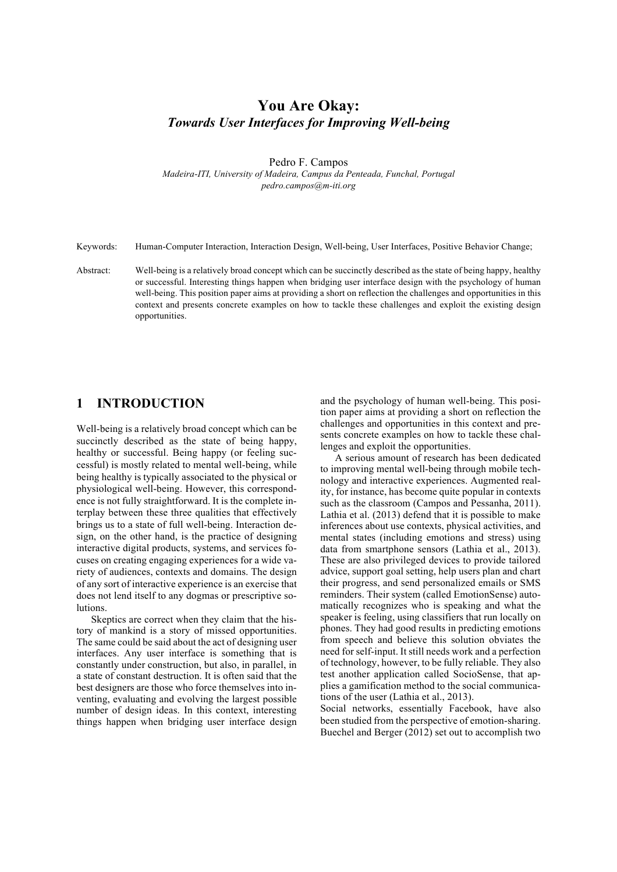# **You Are Okay:** *Towards User Interfaces for Improving Well-being*

Pedro F. Campos *Madeira-ITI, University of Madeira, Campus da Penteada, Funchal, Portugal pedro.campos@m-iti.org*

Keywords: Human-Computer Interaction, Interaction Design, Well-being, User Interfaces, Positive Behavior Change;

Abstract: Well-being is a relatively broad concept which can be succinctly described as the state of being happy, healthy or successful. Interesting things happen when bridging user interface design with the psychology of human well-being. This position paper aims at providing a short on reflection the challenges and opportunities in this context and presents concrete examples on how to tackle these challenges and exploit the existing design opportunities.

## **1 INTRODUCTION**

Well-being is a relatively broad concept which can be succinctly described as the state of being happy, healthy or successful. Being happy (or feeling successful) is mostly related to mental well-being, while being healthy is typically associated to the physical or physiological well-being. However, this correspondence is not fully straightforward. It is the complete interplay between these three qualities that effectively brings us to a state of full well-being. Interaction design, on the other hand, is the practice of designing interactive digital products, systems, and services focuses on creating engaging experiences for a wide variety of audiences, contexts and domains. The design of any sort of interactive experience is an exercise that does not lend itself to any dogmas or prescriptive solutions.

Skeptics are correct when they claim that the history of mankind is a story of missed opportunities. The same could be said about the act of designing user interfaces. Any user interface is something that is constantly under construction, but also, in parallel, in a state of constant destruction. It is often said that the best designers are those who force themselves into inventing, evaluating and evolving the largest possible number of design ideas. In this context, interesting things happen when bridging user interface design and the psychology of human well-being. This position paper aims at providing a short on reflection the challenges and opportunities in this context and presents concrete examples on how to tackle these challenges and exploit the opportunities.

A serious amount of research has been dedicated to improving mental well-being through mobile technology and interactive experiences. Augmented reality, for instance, has become quite popular in contexts such as the classroom (Campos and Pessanha, 2011). Lathia et al. (2013) defend that it is possible to make inferences about use contexts, physical activities, and mental states (including emotions and stress) using data from smartphone sensors (Lathia et al., 2013). These are also privileged devices to provide tailored advice, support goal setting, help users plan and chart their progress, and send personalized emails or SMS reminders. Their system (called EmotionSense) automatically recognizes who is speaking and what the speaker is feeling, using classifiers that run locally on phones. They had good results in predicting emotions from speech and believe this solution obviates the need for self-input. It still needs work and a perfection of technology, however, to be fully reliable. They also test another application called SocioSense, that applies a gamification method to the social communications of the user (Lathia et al., 2013).

Social networks, essentially Facebook, have also been studied from the perspective of emotion-sharing. Buechel and Berger (2012) set out to accomplish two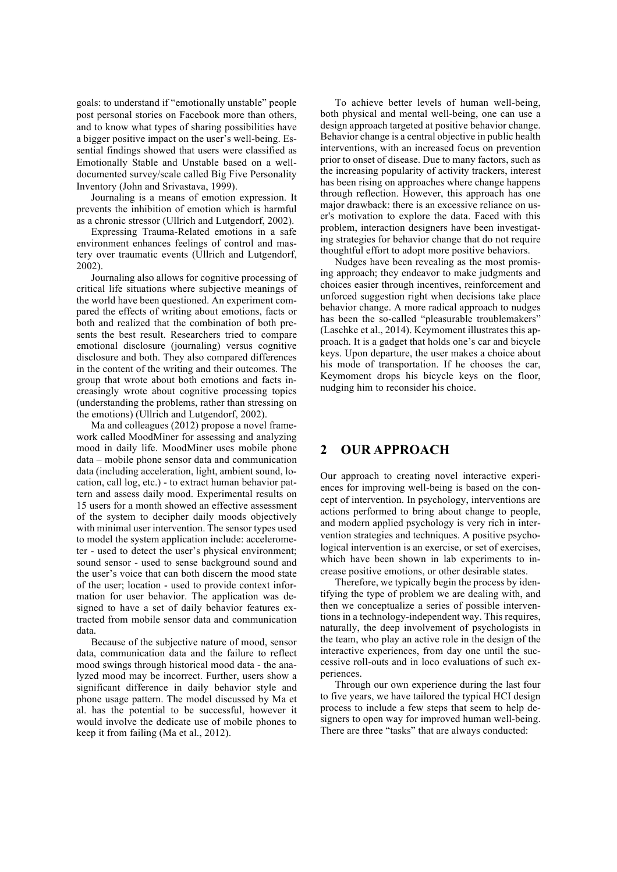goals: to understand if "emotionally unstable" people post personal stories on Facebook more than others, and to know what types of sharing possibilities have a bigger positive impact on the user's well-being. Essential findings showed that users were classified as Emotionally Stable and Unstable based on a welldocumented survey/scale called Big Five Personality Inventory (John and Srivastava, 1999).

Journaling is a means of emotion expression. It prevents the inhibition of emotion which is harmful as a chronic stressor (Ullrich and Lutgendorf, 2002).

Expressing Trauma-Related emotions in a safe environment enhances feelings of control and mastery over traumatic events (Ullrich and Lutgendorf, 2002).

Journaling also allows for cognitive processing of critical life situations where subjective meanings of the world have been questioned. An experiment compared the effects of writing about emotions, facts or both and realized that the combination of both presents the best result. Researchers tried to compare emotional disclosure (journaling) versus cognitive disclosure and both. They also compared differences in the content of the writing and their outcomes. The group that wrote about both emotions and facts increasingly wrote about cognitive processing topics (understanding the problems, rather than stressing on the emotions) (Ullrich and Lutgendorf, 2002).

Ma and colleagues (2012) propose a novel framework called MoodMiner for assessing and analyzing mood in daily life. MoodMiner uses mobile phone data – mobile phone sensor data and communication data (including acceleration, light, ambient sound, location, call log, etc.) - to extract human behavior pattern and assess daily mood. Experimental results on 15 users for a month showed an effective assessment of the system to decipher daily moods objectively with minimal user intervention. The sensor types used to model the system application include: accelerometer - used to detect the user's physical environment; sound sensor - used to sense background sound and the user's voice that can both discern the mood state of the user; location - used to provide context information for user behavior. The application was designed to have a set of daily behavior features extracted from mobile sensor data and communication data.

Because of the subjective nature of mood, sensor data, communication data and the failure to reflect mood swings through historical mood data - the analyzed mood may be incorrect. Further, users show a significant difference in daily behavior style and phone usage pattern. The model discussed by Ma et al. has the potential to be successful, however it would involve the dedicate use of mobile phones to keep it from failing (Ma et al., 2012).

To achieve better levels of human well-being, both physical and mental well-being, one can use a design approach targeted at positive behavior change. Behavior change is a central objective in public health interventions, with an increased focus on prevention prior to onset of disease. Due to many factors, such as the increasing popularity of activity trackers, interest has been rising on approaches where change happens through reflection. However, this approach has one major drawback: there is an excessive reliance on user's motivation to explore the data. Faced with this problem, interaction designers have been investigating strategies for behavior change that do not require thoughtful effort to adopt more positive behaviors.

Nudges have been revealing as the most promising approach; they endeavor to make judgments and choices easier through incentives, reinforcement and unforced suggestion right when decisions take place behavior change. A more radical approach to nudges has been the so-called "pleasurable troublemakers" (Laschke et al., 2014). Keymoment illustrates this approach. It is a gadget that holds one's car and bicycle keys. Upon departure, the user makes a choice about his mode of transportation. If he chooses the car, Keymoment drops his bicycle keys on the floor, nudging him to reconsider his choice.

## **2 OUR APPROACH**

Our approach to creating novel interactive experiences for improving well-being is based on the concept of intervention. In psychology, interventions are actions performed to bring about change to people, and modern applied psychology is very rich in intervention strategies and techniques. A positive psychological intervention is an exercise, or set of exercises, which have been shown in lab experiments to increase positive emotions, or other desirable states.

Therefore, we typically begin the process by identifying the type of problem we are dealing with, and then we conceptualize a series of possible interventions in a technology-independent way. This requires, naturally, the deep involvement of psychologists in the team, who play an active role in the design of the interactive experiences, from day one until the successive roll-outs and in loco evaluations of such experiences.

Through our own experience during the last four to five years, we have tailored the typical HCI design process to include a few steps that seem to help designers to open way for improved human well-being. There are three "tasks" that are always conducted: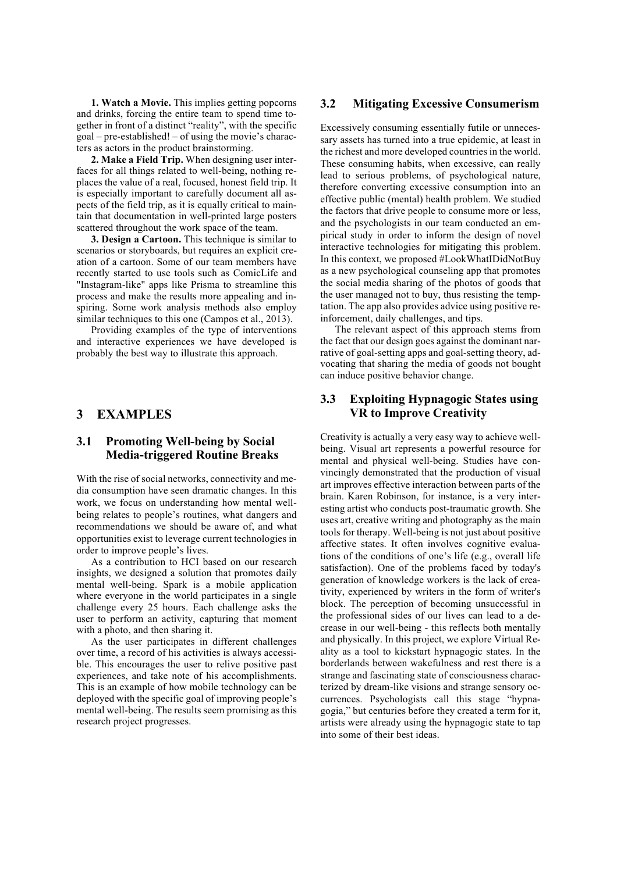**1. Watch a Movie.** This implies getting popcorns and drinks, forcing the entire team to spend time together in front of a distinct "reality", with the specific goal – pre-established! – of using the movie's characters as actors in the product brainstorming.

**2. Make a Field Trip.** When designing user interfaces for all things related to well-being, nothing replaces the value of a real, focused, honest field trip. It is especially important to carefully document all aspects of the field trip, as it is equally critical to maintain that documentation in well-printed large posters scattered throughout the work space of the team.

**3. Design a Cartoon.** This technique is similar to scenarios or storyboards, but requires an explicit creation of a cartoon. Some of our team members have recently started to use tools such as ComicLife and "Instagram-like" apps like Prisma to streamline this process and make the results more appealing and inspiring. Some work analysis methods also employ similar techniques to this one (Campos et al., 2013).

Providing examples of the type of interventions and interactive experiences we have developed is probably the best way to illustrate this approach.

## **3 EXAMPLES**

#### **3.1 Promoting Well-being by Social Media-triggered Routine Breaks**

With the rise of social networks, connectivity and media consumption have seen dramatic changes. In this work, we focus on understanding how mental wellbeing relates to people's routines, what dangers and recommendations we should be aware of, and what opportunities exist to leverage current technologies in order to improve people's lives.

As a contribution to HCI based on our research insights, we designed a solution that promotes daily mental well-being. Spark is a mobile application where everyone in the world participates in a single challenge every 25 hours. Each challenge asks the user to perform an activity, capturing that moment with a photo, and then sharing it.

As the user participates in different challenges over time, a record of his activities is always accessible. This encourages the user to relive positive past experiences, and take note of his accomplishments. This is an example of how mobile technology can be deployed with the specific goal of improving people's mental well-being. The results seem promising as this research project progresses.

#### **3.2 Mitigating Excessive Consumerism**

Excessively consuming essentially futile or unnecessary assets has turned into a true epidemic, at least in the richest and more developed countries in the world. These consuming habits, when excessive, can really lead to serious problems, of psychological nature, therefore converting excessive consumption into an effective public (mental) health problem. We studied the factors that drive people to consume more or less, and the psychologists in our team conducted an empirical study in order to inform the design of novel interactive technologies for mitigating this problem. In this context, we proposed #LookWhatIDidNotBuy as a new psychological counseling app that promotes the social media sharing of the photos of goods that the user managed not to buy, thus resisting the temptation. The app also provides advice using positive reinforcement, daily challenges, and tips.

The relevant aspect of this approach stems from the fact that our design goes against the dominant narrative of goal-setting apps and goal-setting theory, advocating that sharing the media of goods not bought can induce positive behavior change.

#### **3.3 Exploiting Hypnagogic States using VR to Improve Creativity**

Creativity is actually a very easy way to achieve wellbeing. Visual art represents a powerful resource for mental and physical well-being. Studies have convincingly demonstrated that the production of visual art improves effective interaction between parts of the brain. Karen Robinson, for instance, is a very interesting artist who conducts post-traumatic growth. She uses art, creative writing and photography as the main tools for therapy. Well-being is not just about positive affective states. It often involves cognitive evaluations of the conditions of one's life (e.g., overall life satisfaction). One of the problems faced by today's generation of knowledge workers is the lack of creativity, experienced by writers in the form of writer's block. The perception of becoming unsuccessful in the professional sides of our lives can lead to a decrease in our well-being - this reflects both mentally and physically. In this project, we explore Virtual Reality as a tool to kickstart hypnagogic states. In the borderlands between wakefulness and rest there is a strange and fascinating state of consciousness characterized by dream-like visions and strange sensory occurrences. Psychologists call this stage "hypnagogia," but centuries before they created a term for it, artists were already using the hypnagogic state to tap into some of their best ideas.